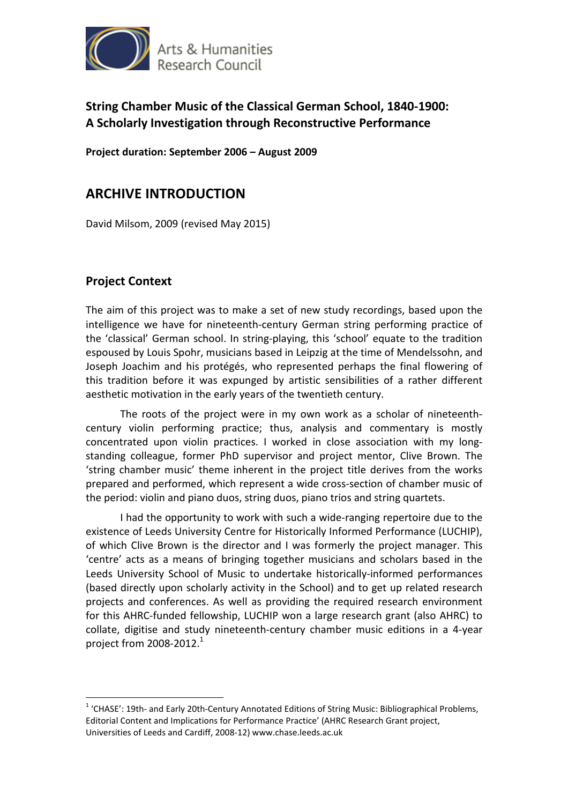

## **String Chamber Music of the Classical German School, 1840-1900: A Scholarly Investigation through Reconstructive Performance**

**Project duration: September 2006 – August 2009** 

# **ARCHIVE INTRODUCTION**

David Milsom, 2009 (revised May 2015)

#### **Project Context**

 $\overline{a}$ 

The aim of this project was to make a set of new study recordings, based upon the intelligence we have for nineteenth-century German string performing practice of the 'classical' German school. In string-playing, this 'school' equate to the tradition espoused by Louis Spohr, musicians based in Leipzig at the time of Mendelssohn, and Joseph Joachim and his protégés, who represented perhaps the final flowering of this tradition before it was expunged by artistic sensibilities of a rather different aesthetic motivation in the early years of the twentieth century.

The roots of the project were in my own work as a scholar of nineteenthcentury violin performing practice; thus, analysis and commentary is mostly concentrated upon violin practices. I worked in close association with my longstanding colleague, former PhD supervisor and project mentor, Clive Brown. The 'string chamber music' theme inherent in the project title derives from the works prepared and performed, which represent a wide cross-section of chamber music of the period: violin and piano duos, string duos, piano trios and string quartets.

I had the opportunity to work with such a wide-ranging repertoire due to the existence of Leeds University Centre for Historically Informed Performance (LUCHIP), of which Clive Brown is the director and I was formerly the project manager. This 'centre' acts as a means of bringing together musicians and scholars based in the Leeds University School of Music to undertake historically-informed performances (based directly upon scholarly activity in the School) and to get up related research projects and conferences. As well as providing the required research environment for this AHRC-funded fellowship, LUCHIP won a large research grant (also AHRC) to collate, digitise and study nineteenth-century chamber music editions in a 4-year project from 2008-2012. $1$ 

<sup>&</sup>lt;sup>1</sup> 'CHASE': 19th- and Early 20th-Century Annotated Editions of String Music: Bibliographical Problems, Editorial Content and Implications for Performance Practice' (AHRC Research Grant project, Universities of Leeds and Cardiff, 2008-12) www.chase.leeds.ac.uk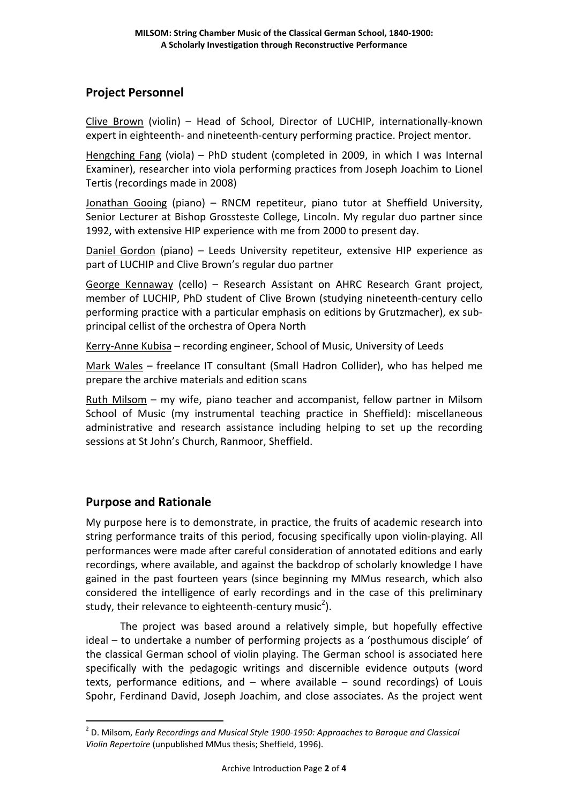### **Project Personnel**

Clive Brown (violin) – Head of School, Director of LUCHIP, internationally-known expert in eighteenth- and nineteenth-century performing practice. Project mentor.

Hengching Fang (viola) – PhD student (completed in 2009, in which I was Internal Examiner), researcher into viola performing practices from Joseph Joachim to Lionel Tertis (recordings made in 2008)

Jonathan Gooing (piano) – RNCM repetiteur, piano tutor at Sheffield University, Senior Lecturer at Bishop Grossteste College, Lincoln. My regular duo partner since 1992, with extensive HIP experience with me from 2000 to present day.

Daniel Gordon (piano) – Leeds University repetiteur, extensive HIP experience as part of LUCHIP and Clive Brown's regular duo partner

George Kennaway (cello) – Research Assistant on AHRC Research Grant project, member of LUCHIP, PhD student of Clive Brown (studying nineteenth-century cello performing practice with a particular emphasis on editions by Grutzmacher), ex subprincipal cellist of the orchestra of Opera North

Kerry-Anne Kubisa – recording engineer, School of Music, University of Leeds

Mark Wales – freelance IT consultant (Small Hadron Collider), who has helped me prepare the archive materials and edition scans

Ruth Milsom – my wife, piano teacher and accompanist, fellow partner in Milsom School of Music (my instrumental teaching practice in Sheffield): miscellaneous administrative and research assistance including helping to set up the recording sessions at St John's Church, Ranmoor, Sheffield.

#### **Purpose and Rationale**

 $\overline{a}$ 

My purpose here is to demonstrate, in practice, the fruits of academic research into string performance traits of this period, focusing specifically upon violin-playing. All performances were made after careful consideration of annotated editions and early recordings, where available, and against the backdrop of scholarly knowledge I have gained in the past fourteen years (since beginning my MMus research, which also considered the intelligence of early recordings and in the case of this preliminary study, their relevance to eighteenth-century music<sup>2</sup>).

The project was based around a relatively simple, but hopefully effective ideal – to undertake a number of performing projects as a 'posthumous disciple' of the classical German school of violin playing. The German school is associated here specifically with the pedagogic writings and discernible evidence outputs (word texts, performance editions, and – where available – sound recordings) of Louis Spohr, Ferdinand David, Joseph Joachim, and close associates. As the project went

<sup>2</sup> D. Milsom, *Early Recordings and Musical Style 1900-1950: Approaches to Baroque and Classical Violin Repertoire* (unpublished MMus thesis; Sheffield, 1996).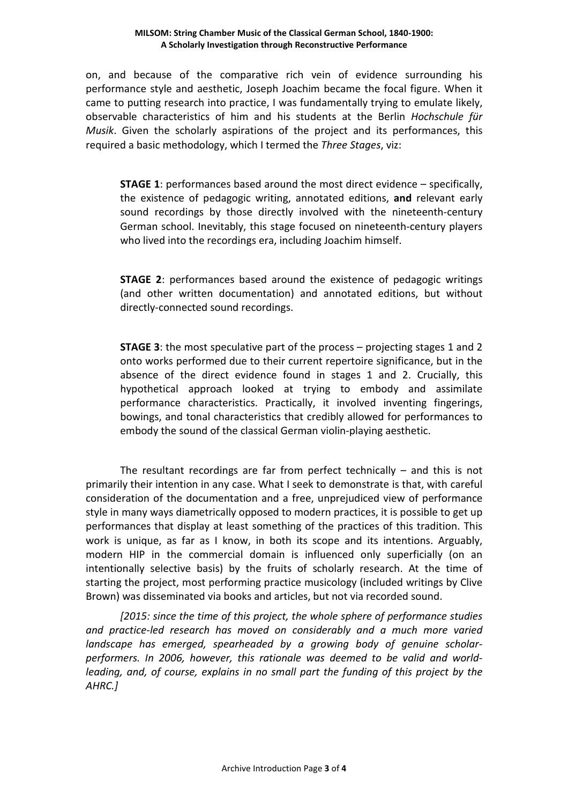#### **MILSOM: String Chamber Music of the Classical German School, 1840-1900: A Scholarly Investigation through Reconstructive Performance**

on, and because of the comparative rich vein of evidence surrounding his performance style and aesthetic, Joseph Joachim became the focal figure. When it came to putting research into practice, I was fundamentally trying to emulate likely, observable characteristics of him and his students at the Berlin *Hochschule für Musik*. Given the scholarly aspirations of the project and its performances, this required a basic methodology, which I termed the *Three Stages*, viz:

**STAGE 1**: performances based around the most direct evidence – specifically, the existence of pedagogic writing, annotated editions, **and** relevant early sound recordings by those directly involved with the nineteenth-century German school. Inevitably, this stage focused on nineteenth-century players who lived into the recordings era, including Joachim himself.

**STAGE 2**: performances based around the existence of pedagogic writings (and other written documentation) and annotated editions, but without directly-connected sound recordings.

**STAGE 3**: the most speculative part of the process – projecting stages 1 and 2 onto works performed due to their current repertoire significance, but in the absence of the direct evidence found in stages 1 and 2. Crucially, this hypothetical approach looked at trying to embody and assimilate performance characteristics. Practically, it involved inventing fingerings, bowings, and tonal characteristics that credibly allowed for performances to embody the sound of the classical German violin-playing aesthetic.

The resultant recordings are far from perfect technically  $-$  and this is not primarily their intention in any case. What I seek to demonstrate is that, with careful consideration of the documentation and a free, unprejudiced view of performance style in many ways diametrically opposed to modern practices, it is possible to get up performances that display at least something of the practices of this tradition. This work is unique, as far as I know, in both its scope and its intentions. Arguably, modern HIP in the commercial domain is influenced only superficially (on an intentionally selective basis) by the fruits of scholarly research. At the time of starting the project, most performing practice musicology (included writings by Clive Brown) was disseminated via books and articles, but not via recorded sound.

*[2015: since the time of this project, the whole sphere of performance studies and practice-led research has moved on considerably and a much more varied landscape has emerged, spearheaded by a growing body of genuine scholarperformers. In 2006, however, this rationale was deemed to be valid and worldleading, and, of course, explains in no small part the funding of this project by the AHRC.]*